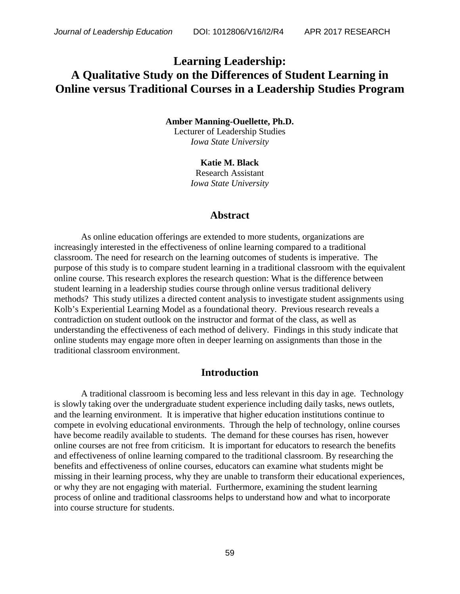# **Learning Leadership: A Qualitative Study on the Differences of Student Learning in Online versus Traditional Courses in a Leadership Studies Program**

#### **Amber Manning-Ouellette, Ph.D.** Lecturer of Leadership Studies *Iowa State University*

**Katie M. Black** Research Assistant *Iowa State University*

## **Abstract**

As online education offerings are extended to more students, organizations are increasingly interested in the effectiveness of online learning compared to a traditional classroom. The need for research on the learning outcomes of students is imperative. The purpose of this study is to compare student learning in a traditional classroom with the equivalent online course. This research explores the research question: What is the difference between student learning in a leadership studies course through online versus traditional delivery methods? This study utilizes a directed content analysis to investigate student assignments using Kolb's Experiential Learning Model as a foundational theory. Previous research reveals a contradiction on student outlook on the instructor and format of the class, as well as understanding the effectiveness of each method of delivery. Findings in this study indicate that online students may engage more often in deeper learning on assignments than those in the traditional classroom environment.

## **Introduction**

A traditional classroom is becoming less and less relevant in this day in age. Technology is slowly taking over the undergraduate student experience including daily tasks, news outlets, and the learning environment. It is imperative that higher education institutions continue to compete in evolving educational environments. Through the help of technology, online courses have become readily available to students. The demand for these courses has risen, however online courses are not free from criticism. It is important for educators to research the benefits and effectiveness of online learning compared to the traditional classroom. By researching the benefits and effectiveness of online courses, educators can examine what students might be missing in their learning process, why they are unable to transform their educational experiences, or why they are not engaging with material. Furthermore, examining the student learning process of online and traditional classrooms helps to understand how and what to incorporate into course structure for students.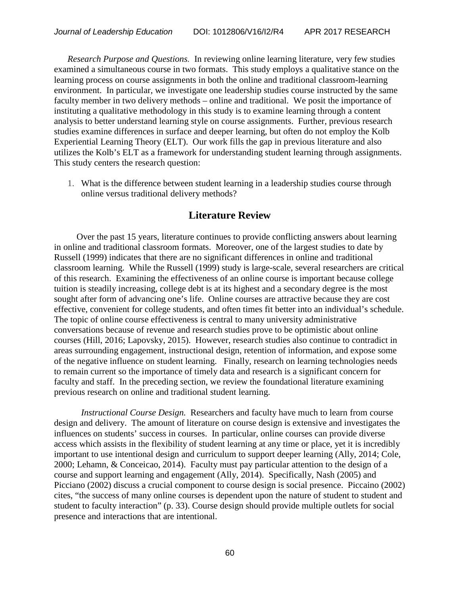*Research Purpose and Questions.* In reviewing online learning literature, very few studies examined a simultaneous course in two formats. This study employs a qualitative stance on the learning process on course assignments in both the online and traditional classroom-learning environment. In particular, we investigate one leadership studies course instructed by the same faculty member in two delivery methods – online and traditional. We posit the importance of instituting a qualitative methodology in this study is to examine learning through a content analysis to better understand learning style on course assignments. Further, previous research studies examine differences in surface and deeper learning, but often do not employ the Kolb Experiential Learning Theory (ELT). Our work fills the gap in previous literature and also utilizes the Kolb's ELT as a framework for understanding student learning through assignments. This study centers the research question:

1. What is the difference between student learning in a leadership studies course through online versus traditional delivery methods?

# **Literature Review**

 Over the past 15 years, literature continues to provide conflicting answers about learning in online and traditional classroom formats. Moreover, one of the largest studies to date by Russell (1999) indicates that there are no significant differences in online and traditional classroom learning. While the Russell (1999) study is large-scale, several researchers are critical of this research. Examining the effectiveness of an online course is important because college tuition is steadily increasing, college debt is at its highest and a secondary degree is the most sought after form of advancing one's life. Online courses are attractive because they are cost effective, convenient for college students, and often times fit better into an individual's schedule. The topic of online course effectiveness is central to many university administrative conversations because of revenue and research studies prove to be optimistic about online courses (Hill, 2016; Lapovsky, 2015). However, research studies also continue to contradict in areas surrounding engagement, instructional design, retention of information, and expose some of the negative influence on student learning. Finally, research on learning technologies needs to remain current so the importance of timely data and research is a significant concern for faculty and staff. In the preceding section, we review the foundational literature examining previous research on online and traditional student learning.

*Instructional Course Design.* Researchers and faculty have much to learn from course design and delivery. The amount of literature on course design is extensive and investigates the influences on students' success in courses. In particular, online courses can provide diverse access which assists in the flexibility of student learning at any time or place, yet it is incredibly important to use intentional design and curriculum to support deeper learning (Ally, 2014; Cole, 2000; Lehamn, & Conceicao, 2014). Faculty must pay particular attention to the design of a course and support learning and engagement (Ally, 2014). Specifically, Nash (2005) and Picciano (2002) discuss a crucial component to course design is social presence. Piccaino (2002) cites, "the success of many online courses is dependent upon the nature of student to student and student to faculty interaction" (p. 33). Course design should provide multiple outlets for social presence and interactions that are intentional.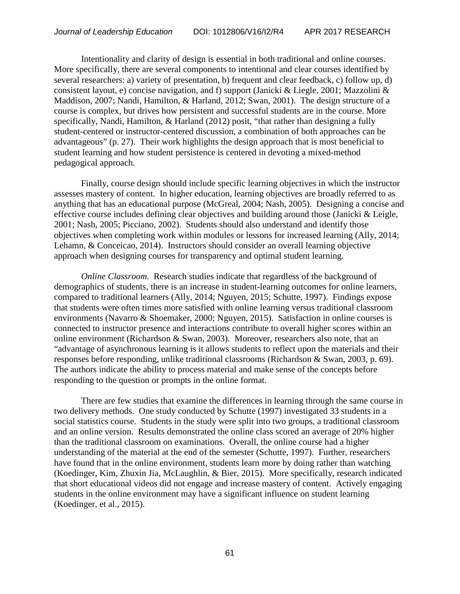Intentionality and clarity of design is essential in both traditional and online courses. More specifically, there are several components to intentional and clear courses identified by several researchers: a) variety of presentation, b) frequent and clear feedback, c) follow up, d) consistent layout, e) concise navigation, and f) support (Janicki & Liegle, 2001; Mazzolini & Maddison, 2007; Nandi, Hamilton, & Harland, 2012; Swan, 2001). The design structure of a course is complex, but drives how persistent and successful students are in the course. More specifically, Nandi, Hamilton, & Harland (2012) posit, "that rather than designing a fully student-centered or instructor-centered discussion, a combination of both approaches can be advantageous" (p. 27). Their work highlights the design approach that is most beneficial to student learning and how student persistence is centered in devoting a mixed-method pedagogical approach.

Finally, course design should include specific learning objectives in which the instructor assesses mastery of content. In higher education, learning objectives are broadly referred to as anything that has an educational purpose (McGreal, 2004; Nash, 2005). Designing a concise and effective course includes defining clear objectives and building around those (Janicki & Leigle, 2001; Nash, 2005; Picciano, 2002). Students should also understand and identify those objectives when completing work within modules or lessons for increased learning (Ally, 2014; Lehamn, & Conceicao, 2014). Instructors should consider an overall learning objective approach when designing courses for transparency and optimal student learning.

*Online Classroom*. Research studies indicate that regardless of the background of demographics of students, there is an increase in student-learning outcomes for online learners, compared to traditional learners (Ally, 2014; Nguyen, 2015; Schutte, 1997). Findings expose that students were often times more satisfied with online learning versus traditional classroom environments (Navarro & Shoemaker, 2000; Nguyen, 2015). Satisfaction in online courses is connected to instructor presence and interactions contribute to overall higher scores within an online environment (Richardson & Swan, 2003). Moreover, researchers also note, that an "advantage of asynchronous learning is it allows students to reflect upon the materials and their responses before responding, unlike traditional classrooms (Richardson & Swan, 2003, p. 69). The authors indicate the ability to process material and make sense of the concepts before responding to the question or prompts in the online format.

There are few studies that examine the differences in learning through the same course in two delivery methods. One study conducted by Schutte (1997) investigated 33 students in a social statistics course. Students in the study were split into two groups, a traditional classroom and an online version. Results demonstrated the online class scored an average of 20% higher than the traditional classroom on examinations. Overall, the online course had a higher understanding of the material at the end of the semester (Schutte, 1997). Further, researchers have found that in the online environment, students learn more by doing rather than watching (Koedinger, Kim, Zhuxin Jia, McLaughlin, & Bier, 2015). More specifically, research indicated that short educational videos did not engage and increase mastery of content. Actively engaging students in the online environment may have a significant influence on student learning (Koedinger, et al., 2015).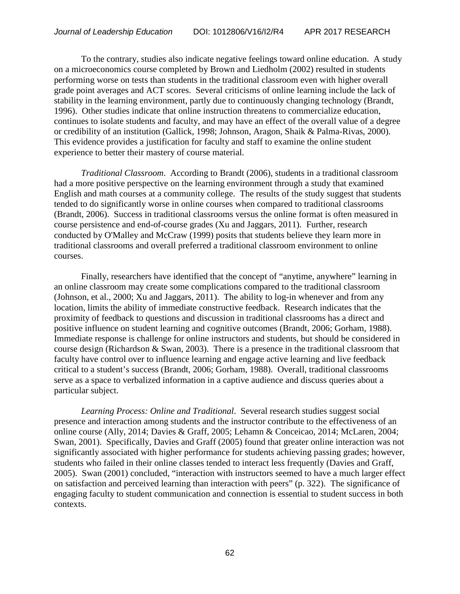To the contrary, studies also indicate negative feelings toward online education. A study on a microeconomics course completed by Brown and Liedholm (2002) resulted in students performing worse on tests than students in the traditional classroom even with higher overall grade point averages and ACT scores. Several criticisms of online learning include the lack of stability in the learning environment, partly due to continuously changing technology (Brandt, 1996). Other studies indicate that online instruction threatens to commercialize education, continues to isolate students and faculty, and may have an effect of the overall value of a degree or credibility of an institution (Gallick, 1998; Johnson, Aragon, Shaik & Palma-Rivas, 2000). This evidence provides a justification for faculty and staff to examine the online student experience to better their mastery of course material.

*Traditional Classroom*. According to Brandt (2006), students in a traditional classroom had a more positive perspective on the learning environment through a study that examined English and math courses at a community college. The results of the study suggest that students tended to do significantly worse in online courses when compared to traditional classrooms (Brandt, 2006). Success in traditional classrooms versus the online format is often measured in course persistence and end-of-course grades (Xu and Jaggars, 2011). Further, research conducted by O'Malley and McCraw (1999) posits that students believe they learn more in traditional classrooms and overall preferred a traditional classroom environment to online courses.

Finally, researchers have identified that the concept of "anytime, anywhere" learning in an online classroom may create some complications compared to the traditional classroom (Johnson, et al., 2000; Xu and Jaggars, 2011). The ability to log-in whenever and from any location, limits the ability of immediate constructive feedback. Research indicates that the proximity of feedback to questions and discussion in traditional classrooms has a direct and positive influence on student learning and cognitive outcomes (Brandt, 2006; Gorham, 1988). Immediate response is challenge for online instructors and students, but should be considered in course design (Richardson & Swan, 2003). There is a presence in the traditional classroom that faculty have control over to influence learning and engage active learning and live feedback critical to a student's success (Brandt, 2006; Gorham, 1988). Overall, traditional classrooms serve as a space to verbalized information in a captive audience and discuss queries about a particular subject.

*Learning Process: Online and Traditional*. Several research studies suggest social presence and interaction among students and the instructor contribute to the effectiveness of an online course (Ally, 2014; Davies & Graff, 2005; Lehamn & Conceicao, 2014; McLaren, 2004; Swan, 2001). Specifically, Davies and Graff (2005) found that greater online interaction was not significantly associated with higher performance for students achieving passing grades; however, students who failed in their online classes tended to interact less frequently (Davies and Graff, 2005). Swan (2001) concluded, "interaction with instructors seemed to have a much larger effect on satisfaction and perceived learning than interaction with peers" (p. 322). The significance of engaging faculty to student communication and connection is essential to student success in both contexts.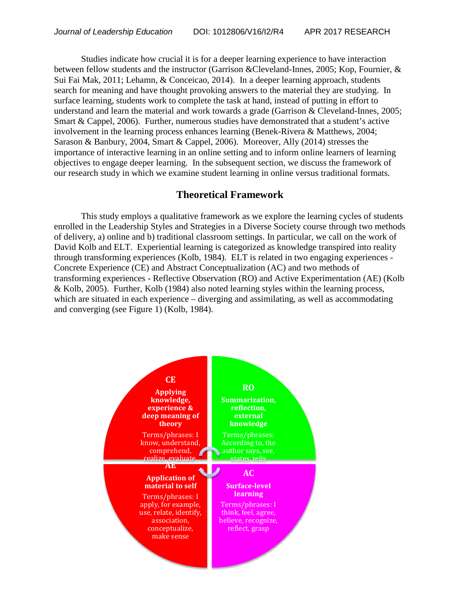Studies indicate how crucial it is for a deeper learning experience to have interaction between fellow students and the instructor (Garrison &Cleveland-Innes, 2005; Kop, Fournier, & Sui Fai Mak, 2011; Lehamn, & Conceicao, 2014). In a deeper learning approach, students search for meaning and have thought provoking answers to the material they are studying. In surface learning, students work to complete the task at hand, instead of putting in effort to understand and learn the material and work towards a grade (Garrison & Cleveland-Innes, 2005; Smart & Cappel, 2006). Further, numerous studies have demonstrated that a student's active involvement in the learning process enhances learning (Benek-Rivera & Matthews, 2004; Sarason & Banbury, 2004, Smart & Cappel, 2006). Moreover, Ally (2014) stresses the importance of interactive learning in an online setting and to inform online learners of learning objectives to engage deeper learning. In the subsequent section, we discuss the framework of our research study in which we examine student learning in online versus traditional formats.

## **Theoretical Framework**

This study employs a qualitative framework as we explore the learning cycles of students enrolled in the Leadership Styles and Strategies in a Diverse Society course through two methods of delivery, a) online and b) traditional classroom settings. In particular, we call on the work of David Kolb and ELT. Experiential learning is categorized as knowledge transpired into reality through transforming experiences (Kolb, 1984). ELT is related in two engaging experiences - Concrete Experience (CE) and Abstract Conceptualization (AC) and two methods of transforming experiences - Reflective Observation (RO) and Active Experimentation (AE) (Kolb & Kolb, 2005). Further, Kolb (1984) also noted learning styles within the learning process, which are situated in each experience – diverging and assimilating, as well as accommodating and converging (see Figure 1) (Kolb, 1984).

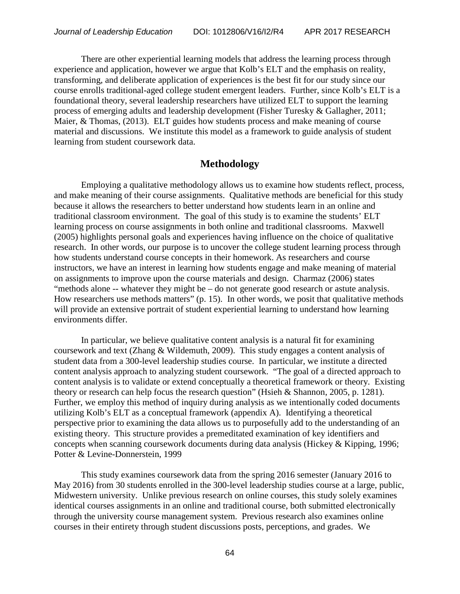There are other experiential learning models that address the learning process through experience and application, however we argue that Kolb's ELT and the emphasis on reality, transforming, and deliberate application of experiences is the best fit for our study since our course enrolls traditional-aged college student emergent leaders. Further, since Kolb's ELT is a foundational theory, several leadership researchers have utilized ELT to support the learning process of emerging adults and leadership development (Fisher Turesky & Gallagher, 2011; Maier, & Thomas, (2013). ELT guides how students process and make meaning of course material and discussions. We institute this model as a framework to guide analysis of student learning from student coursework data.

# **Methodology**

Employing a qualitative methodology allows us to examine how students reflect, process, and make meaning of their course assignments. Qualitative methods are beneficial for this study because it allows the researchers to better understand how students learn in an online and traditional classroom environment. The goal of this study is to examine the students' ELT learning process on course assignments in both online and traditional classrooms. Maxwell (2005) highlights personal goals and experiences having influence on the choice of qualitative research. In other words, our purpose is to uncover the college student learning process through how students understand course concepts in their homework. As researchers and course instructors, we have an interest in learning how students engage and make meaning of material on assignments to improve upon the course materials and design. Charmaz (2006) states "methods alone -- whatever they might be – do not generate good research or astute analysis. How researchers use methods matters" (p. 15). In other words, we posit that qualitative methods will provide an extensive portrait of student experiential learning to understand how learning environments differ.

In particular, we believe qualitative content analysis is a natural fit for examining coursework and text (Zhang & Wildemuth, 2009). This study engages a content analysis of student data from a 300-level leadership studies course. In particular, we institute a directed content analysis approach to analyzing student coursework. "The goal of a directed approach to content analysis is to validate or extend conceptually a theoretical framework or theory. Existing theory or research can help focus the research question" (Hsieh & Shannon, 2005, p. 1281). Further, we employ this method of inquiry during analysis as we intentionally coded documents utilizing Kolb's ELT as a conceptual framework (appendix A). Identifying a theoretical perspective prior to examining the data allows us to purposefully add to the understanding of an existing theory. This structure provides a premeditated examination of key identifiers and concepts when scanning coursework documents during data analysis (Hickey & Kipping, 1996; Potter & Levine-Donnerstein, 1999

This study examines coursework data from the spring 2016 semester (January 2016 to May 2016) from 30 students enrolled in the 300-level leadership studies course at a large, public, Midwestern university. Unlike previous research on online courses, this study solely examines identical courses assignments in an online and traditional course, both submitted electronically through the university course management system. Previous research also examines online courses in their entirety through student discussions posts, perceptions, and grades. We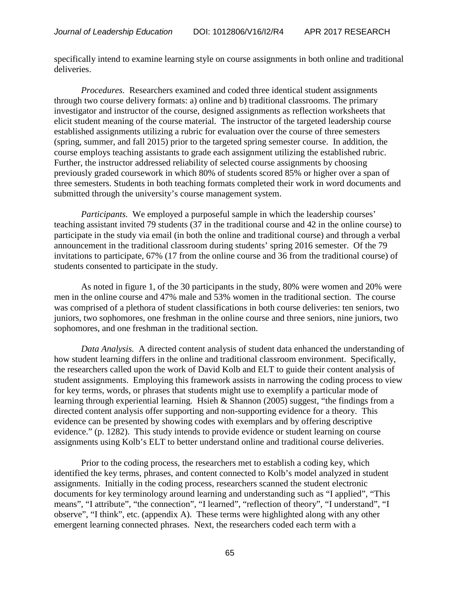specifically intend to examine learning style on course assignments in both online and traditional deliveries.

*Procedures.* Researchers examined and coded three identical student assignments through two course delivery formats: a) online and b) traditional classrooms. The primary investigator and instructor of the course, designed assignments as reflection worksheets that elicit student meaning of the course material. The instructor of the targeted leadership course established assignments utilizing a rubric for evaluation over the course of three semesters (spring, summer, and fall 2015) prior to the targeted spring semester course. In addition, the course employs teaching assistants to grade each assignment utilizing the established rubric. Further, the instructor addressed reliability of selected course assignments by choosing previously graded coursework in which 80% of students scored 85% or higher over a span of three semesters. Students in both teaching formats completed their work in word documents and submitted through the university's course management system.

*Participants.* We employed a purposeful sample in which the leadership courses' teaching assistant invited 79 students (37 in the traditional course and 42 in the online course) to participate in the study via email (in both the online and traditional course) and through a verbal announcement in the traditional classroom during students' spring 2016 semester. Of the 79 invitations to participate, 67% (17 from the online course and 36 from the traditional course) of students consented to participate in the study.

As noted in figure 1, of the 30 participants in the study, 80% were women and 20% were men in the online course and 47% male and 53% women in the traditional section. The course was comprised of a plethora of student classifications in both course deliveries: ten seniors, two juniors, two sophomores, one freshman in the online course and three seniors, nine juniors, two sophomores, and one freshman in the traditional section.

*Data Analysis.* A directed content analysis of student data enhanced the understanding of how student learning differs in the online and traditional classroom environment. Specifically, the researchers called upon the work of David Kolb and ELT to guide their content analysis of student assignments. Employing this framework assists in narrowing the coding process to view for key terms, words, or phrases that students might use to exemplify a particular mode of learning through experiential learning. Hsieh & Shannon (2005) suggest, "the findings from a directed content analysis offer supporting and non-supporting evidence for a theory. This evidence can be presented by showing codes with exemplars and by offering descriptive evidence." (p. 1282). This study intends to provide evidence or student learning on course assignments using Kolb's ELT to better understand online and traditional course deliveries.

Prior to the coding process, the researchers met to establish a coding key, which identified the key terms, phrases, and content connected to Kolb's model analyzed in student assignments. Initially in the coding process, researchers scanned the student electronic documents for key terminology around learning and understanding such as "I applied", "This means", "I attribute", "the connection", "I learned", "reflection of theory", "I understand", "I observe", "I think", etc. (appendix A). These terms were highlighted along with any other emergent learning connected phrases. Next, the researchers coded each term with a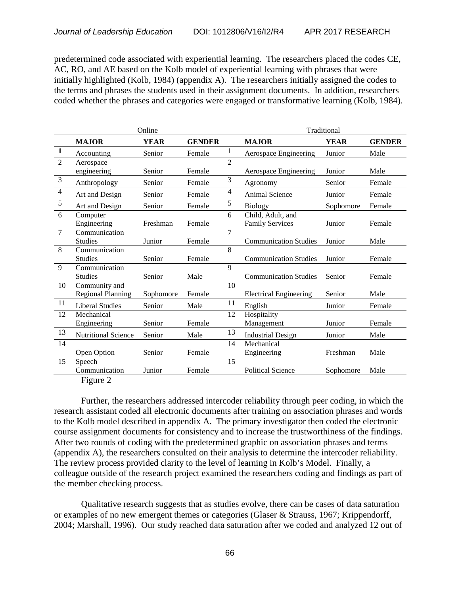predetermined code associated with experiential learning. The researchers placed the codes CE, AC, RO, and AE based on the Kolb model of experiential learning with phrases that were initially highlighted (Kolb, 1984) (appendix A). The researchers initially assigned the codes to the terms and phrases the students used in their assignment documents. In addition, researchers coded whether the phrases and categories were engaged or transformative learning (Kolb, 1984).

|                | Online                     |             |               |                | Traditional                   |             |               |
|----------------|----------------------------|-------------|---------------|----------------|-------------------------------|-------------|---------------|
|                | <b>MAJOR</b>               | <b>YEAR</b> | <b>GENDER</b> |                | <b>MAJOR</b>                  | <b>YEAR</b> | <b>GENDER</b> |
| $\mathbf{1}$   | Accounting                 | Senior      | Female        | 1              | Aerospace Engineering         | Junior      | Male          |
| $\overline{2}$ | Aerospace                  |             |               | $\mathfrak{D}$ |                               |             |               |
|                | engineering                | Senior      | Female        |                | Aerospace Engineering         | Junior      | Male          |
| $\overline{3}$ | Anthropology               | Senior      | Female        | 3              | Agronomy                      | Senior      | Female        |
| $\overline{4}$ | Art and Design             | Senior      | Female        | $\overline{4}$ | Animal Science                | Junior      | Female        |
| $\sqrt{5}$     | Art and Design             | Senior      | Female        | $\sqrt{5}$     | <b>Biology</b>                | Sophomore   | Female        |
| 6              | Computer                   |             |               | 6              | Child, Adult, and             |             |               |
|                | Engineering                | Freshman    | Female        |                | <b>Family Services</b>        | Junior      | Female        |
| $\overline{7}$ | Communication              |             |               | 7              |                               |             |               |
|                | <b>Studies</b>             | Junior      | Female        |                | <b>Communication Studies</b>  | Junior      | Male          |
| 8              | Communication              |             |               | 8              |                               |             |               |
|                | <b>Studies</b>             | Senior      | Female        |                | <b>Communication Studies</b>  | Junior      | Female        |
| 9              | Communication              |             |               | 9              |                               |             |               |
|                | Studies                    | Senior      | Male          |                | <b>Communication Studies</b>  | Senior      | Female        |
| 10             | Community and              |             |               | 10             |                               |             |               |
|                | <b>Regional Planning</b>   | Sophomore   | Female        |                | <b>Electrical Engineering</b> | Senior      | Male          |
| 11             | <b>Liberal Studies</b>     | Senior      | Male          | 11             | English                       | Junior      | Female        |
| 12             | Mechanical                 |             |               | 12             | Hospitality                   |             |               |
|                | Engineering                | Senior      | Female        |                | Management                    | Junior      | Female        |
| 13             | <b>Nutritional Science</b> | Senior      | Male          | 13             | <b>Industrial Design</b>      | Junior      | Male          |
| 14             |                            |             |               | 14             | Mechanical                    |             |               |
|                | Open Option                | Senior      | Female        |                | Engineering                   | Freshman    | Male          |
| 15             | Speech                     |             |               | 15             |                               |             |               |
|                | Communication              | Junior      | Female        |                | <b>Political Science</b>      | Sophomore   | Male          |

Figure 2

Further, the researchers addressed intercoder reliability through peer coding, in which the research assistant coded all electronic documents after training on association phrases and words to the Kolb model described in appendix A. The primary investigator then coded the electronic course assignment documents for consistency and to increase the trustworthiness of the findings. After two rounds of coding with the predetermined graphic on association phrases and terms (appendix A), the researchers consulted on their analysis to determine the intercoder reliability. The review process provided clarity to the level of learning in Kolb's Model. Finally, a colleague outside of the research project examined the researchers coding and findings as part of the member checking process.

Qualitative research suggests that as studies evolve, there can be cases of data saturation or examples of no new emergent themes or categories (Glaser & Strauss, 1967; Krippendorff, 2004; Marshall, 1996). Our study reached data saturation after we coded and analyzed 12 out of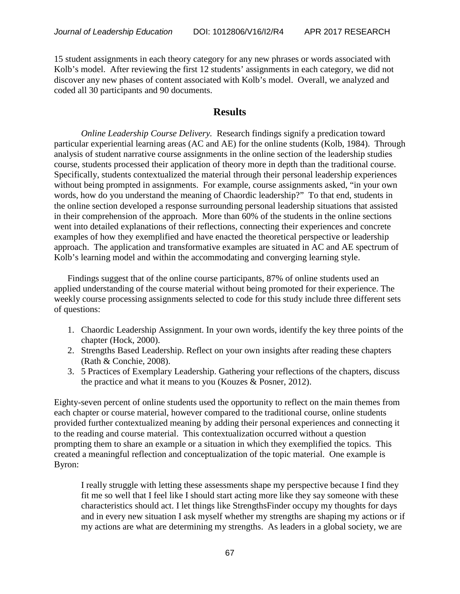15 student assignments in each theory category for any new phrases or words associated with Kolb's model. After reviewing the first 12 students' assignments in each category, we did not discover any new phases of content associated with Kolb's model. Overall, we analyzed and coded all 30 participants and 90 documents.

## **Results**

*Online Leadership Course Delivery.* Research findings signify a predication toward particular experiential learning areas (AC and AE) for the online students (Kolb, 1984). Through analysis of student narrative course assignments in the online section of the leadership studies course, students processed their application of theory more in depth than the traditional course. Specifically, students contextualized the material through their personal leadership experiences without being prompted in assignments. For example, course assignments asked, "in your own words, how do you understand the meaning of Chaordic leadership?" To that end, students in the online section developed a response surrounding personal leadership situations that assisted in their comprehension of the approach. More than 60% of the students in the online sections went into detailed explanations of their reflections, connecting their experiences and concrete examples of how they exemplified and have enacted the theoretical perspective or leadership approach. The application and transformative examples are situated in AC and AE spectrum of Kolb's learning model and within the accommodating and converging learning style.

Findings suggest that of the online course participants, 87% of online students used an applied understanding of the course material without being promoted for their experience. The weekly course processing assignments selected to code for this study include three different sets of questions:

- 1. Chaordic Leadership Assignment. In your own words, identify the key three points of the chapter (Hock, 2000).
- 2. Strengths Based Leadership. Reflect on your own insights after reading these chapters (Rath & Conchie, 2008).
- 3. 5 Practices of Exemplary Leadership. Gathering your reflections of the chapters, discuss the practice and what it means to you (Kouzes & Posner, 2012).

Eighty-seven percent of online students used the opportunity to reflect on the main themes from each chapter or course material, however compared to the traditional course, online students provided further contextualized meaning by adding their personal experiences and connecting it to the reading and course material. This contextualization occurred without a question prompting them to share an example or a situation in which they exemplified the topics. This created a meaningful reflection and conceptualization of the topic material. One example is Byron:

I really struggle with letting these assessments shape my perspective because I find they fit me so well that I feel like I should start acting more like they say someone with these characteristics should act. I let things like StrengthsFinder occupy my thoughts for days and in every new situation I ask myself whether my strengths are shaping my actions or if my actions are what are determining my strengths. As leaders in a global society, we are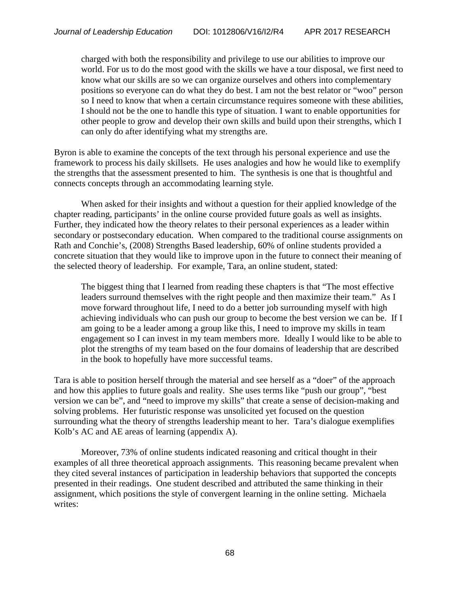charged with both the responsibility and privilege to use our abilities to improve our world. For us to do the most good with the skills we have a tour disposal, we first need to know what our skills are so we can organize ourselves and others into complementary positions so everyone can do what they do best. I am not the best relator or "woo" person so I need to know that when a certain circumstance requires someone with these abilities, I should not be the one to handle this type of situation. I want to enable opportunities for other people to grow and develop their own skills and build upon their strengths, which I can only do after identifying what my strengths are.

Byron is able to examine the concepts of the text through his personal experience and use the framework to process his daily skillsets. He uses analogies and how he would like to exemplify the strengths that the assessment presented to him. The synthesis is one that is thoughtful and connects concepts through an accommodating learning style.

When asked for their insights and without a question for their applied knowledge of the chapter reading, participants' in the online course provided future goals as well as insights. Further, they indicated how the theory relates to their personal experiences as a leader within secondary or postsecondary education. When compared to the traditional course assignments on Rath and Conchie's, (2008) Strengths Based leadership, 60% of online students provided a concrete situation that they would like to improve upon in the future to connect their meaning of the selected theory of leadership. For example, Tara, an online student, stated:

The biggest thing that I learned from reading these chapters is that "The most effective leaders surround themselves with the right people and then maximize their team." As I move forward throughout life, I need to do a better job surrounding myself with high achieving individuals who can push our group to become the best version we can be. If I am going to be a leader among a group like this, I need to improve my skills in team engagement so I can invest in my team members more. Ideally I would like to be able to plot the strengths of my team based on the four domains of leadership that are described in the book to hopefully have more successful teams.

Tara is able to position herself through the material and see herself as a "doer" of the approach and how this applies to future goals and reality. She uses terms like "push our group", "best version we can be", and "need to improve my skills" that create a sense of decision-making and solving problems. Her futuristic response was unsolicited yet focused on the question surrounding what the theory of strengths leadership meant to her. Tara's dialogue exemplifies Kolb's AC and AE areas of learning (appendix A).

Moreover, 73% of online students indicated reasoning and critical thought in their examples of all three theoretical approach assignments. This reasoning became prevalent when they cited several instances of participation in leadership behaviors that supported the concepts presented in their readings. One student described and attributed the same thinking in their assignment, which positions the style of convergent learning in the online setting. Michaela writes: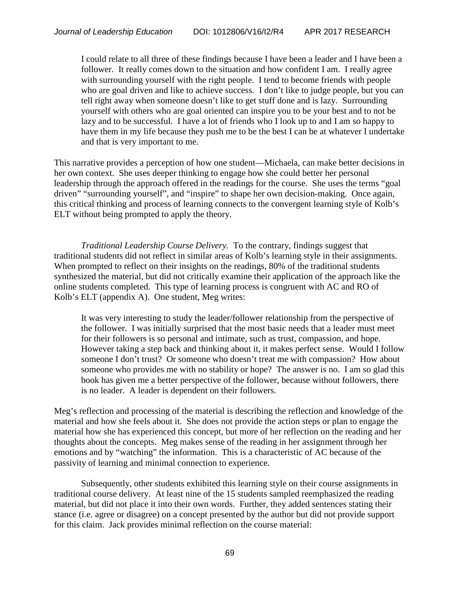I could relate to all three of these findings because I have been a leader and I have been a follower. It really comes down to the situation and how confident I am. I really agree with surrounding yourself with the right people. I tend to become friends with people who are goal driven and like to achieve success. I don't like to judge people, but you can tell right away when someone doesn't like to get stuff done and is lazy. Surrounding yourself with others who are goal oriented can inspire you to be your best and to not be lazy and to be successful. I have a lot of friends who I look up to and I am so happy to have them in my life because they push me to be the best I can be at whatever I undertake and that is very important to me.

This narrative provides a perception of how one student—Michaela, can make better decisions in her own context. She uses deeper thinking to engage how she could better her personal leadership through the approach offered in the readings for the course. She uses the terms "goal driven" "surrounding yourself", and "inspire" to shape her own decision-making. Once again, this critical thinking and process of learning connects to the convergent learning style of Kolb's ELT without being prompted to apply the theory.

*Traditional Leadership Course Delivery.* To the contrary, findings suggest that traditional students did not reflect in similar areas of Kolb's learning style in their assignments. When prompted to reflect on their insights on the readings, 80% of the traditional students synthesized the material, but did not critically examine their application of the approach like the online students completed. This type of learning process is congruent with AC and RO of Kolb's ELT (appendix A). One student, Meg writes:

It was very interesting to study the leader/follower relationship from the perspective of the follower. I was initially surprised that the most basic needs that a leader must meet for their followers is so personal and intimate, such as trust, compassion, and hope. However taking a step back and thinking about it, it makes perfect sense. Would I follow someone I don't trust? Or someone who doesn't treat me with compassion? How about someone who provides me with no stability or hope? The answer is no. I am so glad this book has given me a better perspective of the follower, because without followers, there is no leader. A leader is dependent on their followers.

Meg's reflection and processing of the material is describing the reflection and knowledge of the material and how she feels about it. She does not provide the action steps or plan to engage the material how she has experienced this concept, but more of her reflection on the reading and her thoughts about the concepts. Meg makes sense of the reading in her assignment through her emotions and by "watching" the information. This is a characteristic of AC because of the passivity of learning and minimal connection to experience.

Subsequently, other students exhibited this learning style on their course assignments in traditional course delivery. At least nine of the 15 students sampled reemphasized the reading material, but did not place it into their own words. Further, they added sentences stating their stance (i.e. agree or disagree) on a concept presented by the author but did not provide support for this claim. Jack provides minimal reflection on the course material: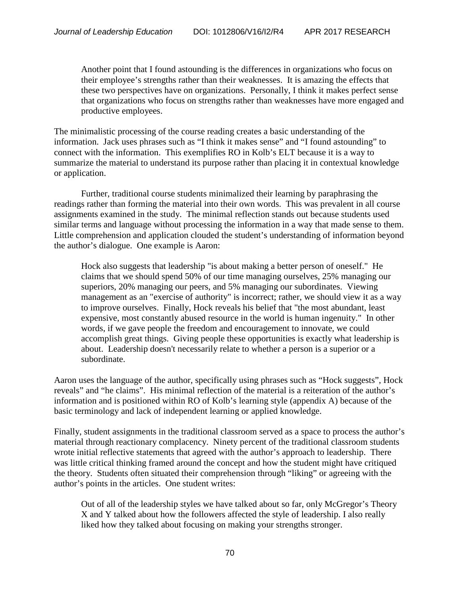Another point that I found astounding is the differences in organizations who focus on their employee's strengths rather than their weaknesses. It is amazing the effects that these two perspectives have on organizations. Personally, I think it makes perfect sense that organizations who focus on strengths rather than weaknesses have more engaged and productive employees.

The minimalistic processing of the course reading creates a basic understanding of the information. Jack uses phrases such as "I think it makes sense" and "I found astounding" to connect with the information. This exemplifies RO in Kolb's ELT because it is a way to summarize the material to understand its purpose rather than placing it in contextual knowledge or application.

Further, traditional course students minimalized their learning by paraphrasing the readings rather than forming the material into their own words. This was prevalent in all course assignments examined in the study. The minimal reflection stands out because students used similar terms and language without processing the information in a way that made sense to them. Little comprehension and application clouded the student's understanding of information beyond the author's dialogue. One example is Aaron:

Hock also suggests that leadership "is about making a better person of oneself." He claims that we should spend 50% of our time managing ourselves, 25% managing our superiors, 20% managing our peers, and 5% managing our subordinates. Viewing management as an "exercise of authority" is incorrect; rather, we should view it as a way to improve ourselves. Finally, Hock reveals his belief that "the most abundant, least expensive, most constantly abused resource in the world is human ingenuity." In other words, if we gave people the freedom and encouragement to innovate, we could accomplish great things. Giving people these opportunities is exactly what leadership is about. Leadership doesn't necessarily relate to whether a person is a superior or a subordinate.

Aaron uses the language of the author, specifically using phrases such as "Hock suggests", Hock reveals" and "he claims". His minimal reflection of the material is a reiteration of the author's information and is positioned within RO of Kolb's learning style (appendix A) because of the basic terminology and lack of independent learning or applied knowledge.

Finally, student assignments in the traditional classroom served as a space to process the author's material through reactionary complacency. Ninety percent of the traditional classroom students wrote initial reflective statements that agreed with the author's approach to leadership. There was little critical thinking framed around the concept and how the student might have critiqued the theory. Students often situated their comprehension through "liking" or agreeing with the author's points in the articles. One student writes:

Out of all of the leadership styles we have talked about so far, only McGregor's Theory X and Y talked about how the followers affected the style of leadership. I also really liked how they talked about focusing on making your strengths stronger.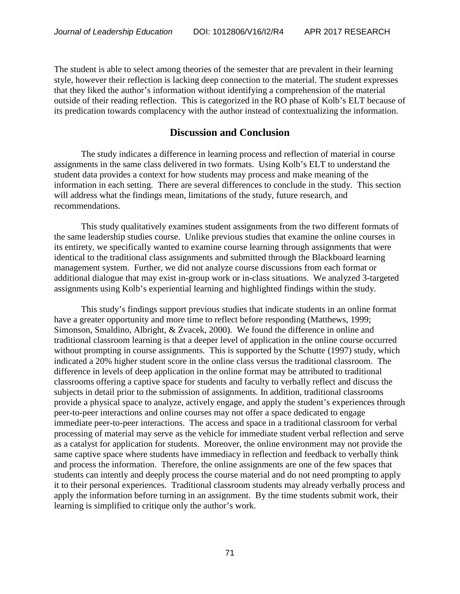The student is able to select among theories of the semester that are prevalent in their learning style, however their reflection is lacking deep connection to the material. The student expresses that they liked the author's information without identifying a comprehension of the material outside of their reading reflection. This is categorized in the RO phase of Kolb's ELT because of its predication towards complacency with the author instead of contextualizing the information.

#### **Discussion and Conclusion**

The study indicates a difference in learning process and reflection of material in course assignments in the same class delivered in two formats. Using Kolb's ELT to understand the student data provides a context for how students may process and make meaning of the information in each setting. There are several differences to conclude in the study. This section will address what the findings mean, limitations of the study, future research, and recommendations.

This study qualitatively examines student assignments from the two different formats of the same leadership studies course. Unlike previous studies that examine the online courses in its entirety, we specifically wanted to examine course learning through assignments that were identical to the traditional class assignments and submitted through the Blackboard learning management system. Further, we did not analyze course discussions from each format or additional dialogue that may exist in-group work or in-class situations. We analyzed 3-targeted assignments using Kolb's experiential learning and highlighted findings within the study.

This study's findings support previous studies that indicate students in an online format have a greater opportunity and more time to reflect before responding (Matthews, 1999; Simonson, Smaldino, Albright, & Zvacek, 2000). We found the difference in online and traditional classroom learning is that a deeper level of application in the online course occurred without prompting in course assignments. This is supported by the Schutte (1997) study, which indicated a 20% higher student score in the online class versus the traditional classroom. The difference in levels of deep application in the online format may be attributed to traditional classrooms offering a captive space for students and faculty to verbally reflect and discuss the subjects in detail prior to the submission of assignments. In addition, traditional classrooms provide a physical space to analyze, actively engage, and apply the student's experiences through peer-to-peer interactions and online courses may not offer a space dedicated to engage immediate peer-to-peer interactions. The access and space in a traditional classroom for verbal processing of material may serve as the vehicle for immediate student verbal reflection and serve as a catalyst for application for students. Moreover, the online environment may not provide the same captive space where students have immediacy in reflection and feedback to verbally think and process the information. Therefore, the online assignments are one of the few spaces that students can intently and deeply process the course material and do not need prompting to apply it to their personal experiences. Traditional classroom students may already verbally process and apply the information before turning in an assignment. By the time students submit work, their learning is simplified to critique only the author's work.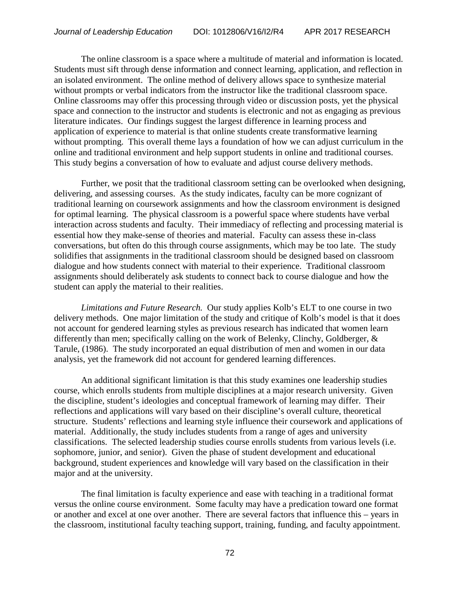The online classroom is a space where a multitude of material and information is located. Students must sift through dense information and connect learning, application, and reflection in an isolated environment. The online method of delivery allows space to synthesize material without prompts or verbal indicators from the instructor like the traditional classroom space. Online classrooms may offer this processing through video or discussion posts, yet the physical space and connection to the instructor and students is electronic and not as engaging as previous literature indicates. Our findings suggest the largest difference in learning process and application of experience to material is that online students create transformative learning without prompting. This overall theme lays a foundation of how we can adjust curriculum in the online and traditional environment and help support students in online and traditional courses. This study begins a conversation of how to evaluate and adjust course delivery methods.

Further, we posit that the traditional classroom setting can be overlooked when designing, delivering, and assessing courses. As the study indicates, faculty can be more cognizant of traditional learning on coursework assignments and how the classroom environment is designed for optimal learning. The physical classroom is a powerful space where students have verbal interaction across students and faculty. Their immediacy of reflecting and processing material is essential how they make-sense of theories and material. Faculty can assess these in-class conversations, but often do this through course assignments, which may be too late. The study solidifies that assignments in the traditional classroom should be designed based on classroom dialogue and how students connect with material to their experience. Traditional classroom assignments should deliberately ask students to connect back to course dialogue and how the student can apply the material to their realities.

*Limitations and Future Research.* Our study applies Kolb's ELT to one course in two delivery methods. One major limitation of the study and critique of Kolb's model is that it does not account for gendered learning styles as previous research has indicated that women learn differently than men; specifically calling on the work of Belenky, Clinchy, Goldberger, & Tarule, (1986). The study incorporated an equal distribution of men and women in our data analysis, yet the framework did not account for gendered learning differences.

An additional significant limitation is that this study examines one leadership studies course, which enrolls students from multiple disciplines at a major research university. Given the discipline, student's ideologies and conceptual framework of learning may differ. Their reflections and applications will vary based on their discipline's overall culture, theoretical structure. Students' reflections and learning style influence their coursework and applications of material. Additionally, the study includes students from a range of ages and university classifications. The selected leadership studies course enrolls students from various levels (i.e. sophomore, junior, and senior). Given the phase of student development and educational background, student experiences and knowledge will vary based on the classification in their major and at the university.

The final limitation is faculty experience and ease with teaching in a traditional format versus the online course environment. Some faculty may have a predication toward one format or another and excel at one over another. There are several factors that influence this – years in the classroom, institutional faculty teaching support, training, funding, and faculty appointment.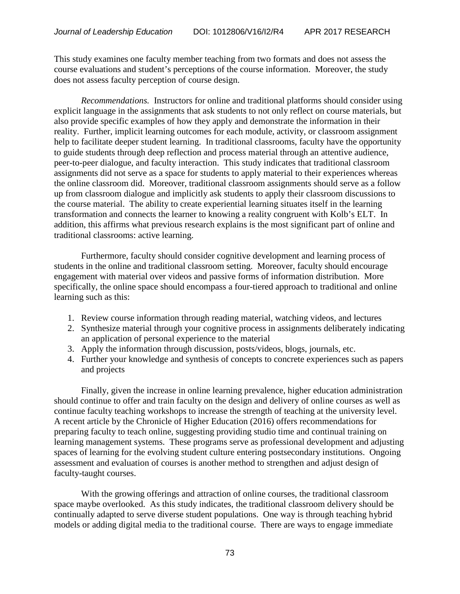This study examines one faculty member teaching from two formats and does not assess the course evaluations and student's perceptions of the course information. Moreover, the study does not assess faculty perception of course design.

*Recommendations.* Instructors for online and traditional platforms should consider using explicit language in the assignments that ask students to not only reflect on course materials, but also provide specific examples of how they apply and demonstrate the information in their reality. Further, implicit learning outcomes for each module, activity, or classroom assignment help to facilitate deeper student learning. In traditional classrooms, faculty have the opportunity to guide students through deep reflection and process material through an attentive audience, peer-to-peer dialogue, and faculty interaction. This study indicates that traditional classroom assignments did not serve as a space for students to apply material to their experiences whereas the online classroom did. Moreover, traditional classroom assignments should serve as a follow up from classroom dialogue and implicitly ask students to apply their classroom discussions to the course material. The ability to create experiential learning situates itself in the learning transformation and connects the learner to knowing a reality congruent with Kolb's ELT. In addition, this affirms what previous research explains is the most significant part of online and traditional classrooms: active learning.

Furthermore, faculty should consider cognitive development and learning process of students in the online and traditional classroom setting. Moreover, faculty should encourage engagement with material over videos and passive forms of information distribution. More specifically, the online space should encompass a four-tiered approach to traditional and online learning such as this:

- 1. Review course information through reading material, watching videos, and lectures
- 2. Synthesize material through your cognitive process in assignments deliberately indicating an application of personal experience to the material
- 3. Apply the information through discussion, posts/videos, blogs, journals, etc.
- 4. Further your knowledge and synthesis of concepts to concrete experiences such as papers and projects

Finally, given the increase in online learning prevalence, higher education administration should continue to offer and train faculty on the design and delivery of online courses as well as continue faculty teaching workshops to increase the strength of teaching at the university level. A recent article by the Chronicle of Higher Education (2016) offers recommendations for preparing faculty to teach online, suggesting providing studio time and continual training on learning management systems. These programs serve as professional development and adjusting spaces of learning for the evolving student culture entering postsecondary institutions. Ongoing assessment and evaluation of courses is another method to strengthen and adjust design of faculty-taught courses.

With the growing offerings and attraction of online courses, the traditional classroom space maybe overlooked. As this study indicates, the traditional classroom delivery should be continually adapted to serve diverse student populations. One way is through teaching hybrid models or adding digital media to the traditional course. There are ways to engage immediate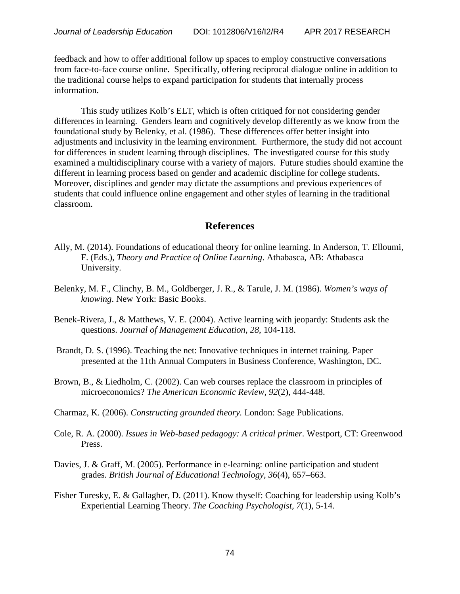feedback and how to offer additional follow up spaces to employ constructive conversations from face-to-face course online. Specifically, offering reciprocal dialogue online in addition to the traditional course helps to expand participation for students that internally process information.

This study utilizes Kolb's ELT, which is often critiqued for not considering gender differences in learning. Genders learn and cognitively develop differently as we know from the foundational study by Belenky, et al. (1986). These differences offer better insight into adjustments and inclusivity in the learning environment. Furthermore, the study did not account for differences in student learning through disciplines. The investigated course for this study examined a multidisciplinary course with a variety of majors. Future studies should examine the different in learning process based on gender and academic discipline for college students. Moreover, disciplines and gender may dictate the assumptions and previous experiences of students that could influence online engagement and other styles of learning in the traditional classroom.

# **References**

- Ally, M. (2014). Foundations of educational theory for online learning. In Anderson, T. Elloumi, F. (Eds.), *Theory and Practice of Online Learning*. Athabasca, AB: Athabasca University.
- Belenky, M. F., Clinchy, B. M., Goldberger, J. R., & Tarule, J. M. (1986). *Women's ways of knowing*. New York: Basic Books.
- Benek-Rivera, J., & Matthews, V. E. (2004). Active learning with jeopardy: Students ask the questions. *Journal of Management Education*, *28*, 104-118.
- Brandt, D. S. (1996). Teaching the net: Innovative techniques in internet training. Paper presented at the 11th Annual Computers in Business Conference, Washington, DC.
- Brown, B., & Liedholm, C. (2002). Can web courses replace the classroom in principles of microeconomics? *The American Economic Review, 92*(2), 444-448.
- Charmaz, K. (2006). *Constructing grounded theory.* London: Sage Publications.
- Cole, R. A. (2000). *Issues in Web-based pedagogy: A critical primer.* Westport, CT: Greenwood Press.
- Davies, J. & Graff, M. (2005). Performance in e-learning: online participation and student grades. *British Journal of Educational Technology, 36*(4), 657–663.
- Fisher Turesky, E. & Gallagher, D. (2011). Know thyself: Coaching for leadership using Kolb's Experiential Learning Theory. *The Coaching Psychologist, 7*(1), 5-14.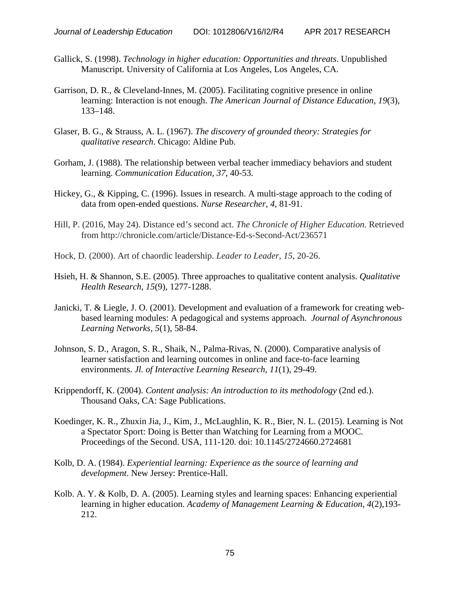- Gallick, S. (1998). *Technology in higher education: Opportunities and threats*. Unpublished Manuscript. University of California at Los Angeles, Los Angeles, CA.
- Garrison, D. R., & Cleveland-Innes, M. (2005). Facilitating cognitive presence in online learning: Interaction is not enough. *The American Journal of Distance Education, 19*(3), 133–148.
- Glaser, B. G., & Strauss, A. L. (1967). *The discovery of grounded theory: Strategies for qualitative research*. Chicago: Aldine Pub.
- Gorham, J. (1988). The relationship between verbal teacher immediacy behaviors and student learning. *Communication Education, 37*, 40-53.
- Hickey, G., & Kipping, C. (1996). Issues in research. A multi-stage approach to the coding of data from open-ended questions. *Nurse Researcher, 4*, 81-91.
- Hill, P. (2016, May 24). Distance ed's second act. *The Chronicle of Higher Education.* Retrieved from http://chronicle.com/article/Distance-Ed-s-Second-Act/236571
- Hock, D. (2000). Art of chaordic leadership. *Leader to Leader*, *15*, 20-26.
- Hsieh, H. & Shannon, S.E. (2005). Three approaches to qualitative content analysis. *Qualitative Health Research, 15*(9), 1277-1288.
- Janicki, T. & Liegle, J. O. (2001). Development and evaluation of a framework for creating webbased learning modules: A pedagogical and systems approach. *Journal of Asynchronous Learning Networks, 5*(1), 58-84.
- Johnson, S. D., Aragon, S. R., Shaik, N., Palma-Rivas, N. (2000). Comparative analysis of learner satisfaction and learning outcomes in online and face-to-face learning environments. *Jl. of Interactive Learning Research, 11*(1), 29-49.
- Krippendorff, K. (2004). *Content analysis: An introduction to its methodology* (2nd ed.). Thousand Oaks, CA: Sage Publications.
- Koedinger, K. R., Zhuxin Jia, J., Kim, J., McLaughlin, K. R., Bier, N. L. (2015). Learning is Not a Spectator Sport: Doing is Better than Watching for Learning from a MOOC. Proceedings of the Second. USA, 111-120. doi: 10.1145/2724660.2724681
- Kolb, D. A. (1984). *Experiential learning: Experience as the source of learning and development*. New Jersey: Prentice-Hall.
- Kolb. A. Y. & Kolb, D. A. (2005). Learning styles and learning spaces: Enhancing experiential learning in higher education. *Academy of Management Learning & Education, 4*(2),193- 212.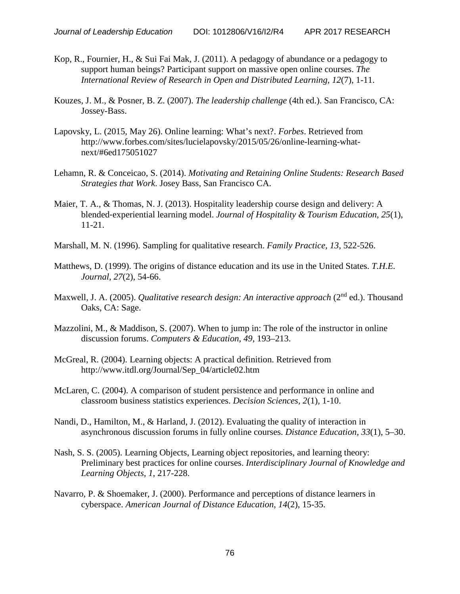- Kop, R., Fournier, H., & Sui Fai Mak, J. (2011). A pedagogy of abundance or a pedagogy to support human beings? Participant support on massive open online courses. *The International Review of Research in Open and Distributed Learning, 12*(7), 1-11.
- Kouzes, J. M., & Posner, B. Z. (2007). *The leadership challenge* (4th ed.). San Francisco, CA: Jossey-Bass.
- Lapovsky, L. (2015, May 26). Online learning: What's next?. *Forbes*. Retrieved from http://www.forbes.com/sites/lucielapovsky/2015/05/26/online-learning-whatnext/#6ed175051027
- Lehamn, R. & Conceicao, S. (2014). *Motivating and Retaining Online Students: Research Based Strategies that Work*. Josey Bass, San Francisco CA.
- Maier, T. A., & Thomas, N. J. (2013). Hospitality leadership course design and delivery: A blended‐experiential learning model. *Journal of Hospitality & Tourism Education*, *25*(1), 11-21.
- Marshall, M. N. (1996). Sampling for qualitative research. *Family Practice, 13*, 522-526.
- Matthews, D. (1999). The origins of distance education and its use in the United States. *T.H.E. Journal, 27*(2), 54-66.
- Maxwell, J. A. (2005). *Qualitative research design: An interactive approach* (2<sup>nd</sup> ed.). Thousand Oaks, CA: Sage.
- Mazzolini, M., & Maddison, S. (2007). When to jump in: The role of the instructor in online discussion forums. *Computers & Education, 49*, 193–213.
- McGreal, R. (2004). Learning objects: A practical definition. Retrieved from http://www.itdl.org/Journal/Sep\_04/article02.htm
- McLaren, C. (2004). A comparison of student persistence and performance in online and classroom business statistics experiences. *Decision Sciences, 2*(1)*,* 1-10.
- Nandi, D., Hamilton, M., & Harland, J. (2012). Evaluating the quality of interaction in asynchronous discussion forums in fully online courses. *Distance Education, 33*(1), 5–30.
- Nash, S. S. (2005). Learning Objects, Learning object repositories, and learning theory: Preliminary best practices for online courses. *Interdisciplinary Journal of Knowledge and Learning Objects, 1*, 217-228.
- Navarro, P. & Shoemaker, J. (2000). Performance and perceptions of distance learners in cyberspace. *American Journal of Distance Education*, *14*(2), 15-35.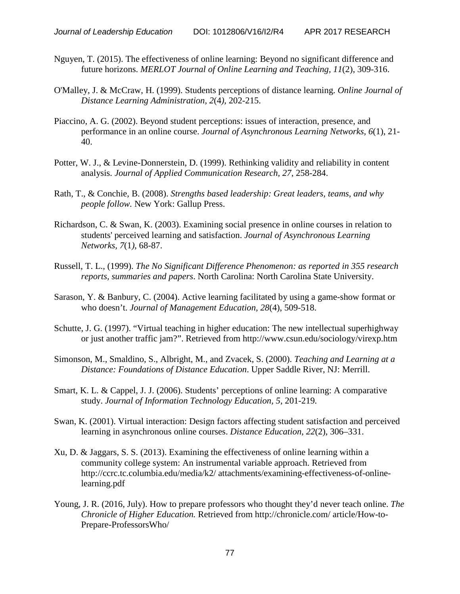- Nguyen, T. (2015). The effectiveness of online learning: Beyond no significant difference and future horizons. *MERLOT Journal of Online Learning and Teaching, 11*(2), 309-316.
- O'Malley, J. & McCraw, H. (1999). Students perceptions of distance learning. *Online Journal of Distance Learning Administration, 2*(4*),* 202-215.
- Piaccino, A. G. (2002). Beyond student perceptions: issues of interaction, presence, and performance in an online course. *Journal of Asynchronous Learning Networks, 6*(1), 21- 40.
- Potter, W. J., & Levine-Donnerstein, D. (1999). Rethinking validity and reliability in content analysis. *Journal of Applied Communication Research, 27*, 258-284.
- Rath, T., & Conchie, B. (2008). *Strengths based leadership: Great leaders, teams, and why people follow.* New York: Gallup Press.
- Richardson, C. & Swan, K. (2003). Examining social presence in online courses in relation to students' perceived learning and satisfaction. *Journal of Asynchronous Learning Networks, 7*(1*)*, 68-87.
- Russell, T. L., (1999). *The No Significant Difference Phenomenon: as reported in 355 research reports, summaries and papers*. North Carolina: North Carolina State University.
- Sarason, Y. & Banbury, C. (2004). Active learning facilitated by using a game-show format or who doesn't. *Journal of Management Education, 28*(4), 509-518.
- Schutte, J. G. (1997). "Virtual teaching in higher education: The new intellectual superhighway or just another traffic jam?". Retrieved from http://www.csun.edu/sociology/virexp.htm
- Simonson, M., Smaldino, S., Albright, M., and Zvacek, S. (2000). *Teaching and Learning at a Distance: Foundations of Distance Education*. Upper Saddle River, NJ: Merrill.
- Smart, K. L. & Cappel, J. J. (2006). Students' perceptions of online learning: A comparative study. *Journal of Information Technology Education, 5*, 201-219*.*
- Swan, K. (2001). Virtual interaction: Design factors affecting student satisfaction and perceived learning in asynchronous online courses. *Distance Education, 22*(2), 306–331.
- Xu, D. & Jaggars, S. S. (2013). Examining the effectiveness of online learning within a community college system: An instrumental variable approach. Retrieved from http://ccrc.tc.columbia.edu/media/k2/ attachments/examining-effectiveness-of-onlinelearning.pdf
- Young, J. R. (2016, July). How to prepare professors who thought they'd never teach online. *The Chronicle of Higher Education.* Retrieved from http://chronicle.com/ article/How-to-Prepare-ProfessorsWho/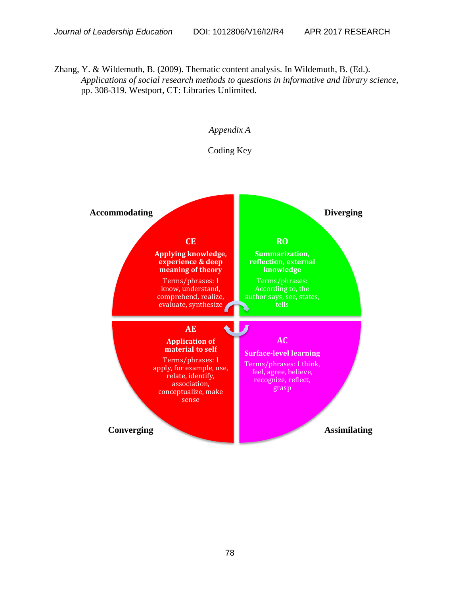Zhang, Y. & Wildemuth, B. (2009). Thematic content analysis. In Wildemuth, B. (Ed.). *Applications of social research methods to questions in informative and library science,*  pp. 308-319*.* Westport, CT: Libraries Unlimited.